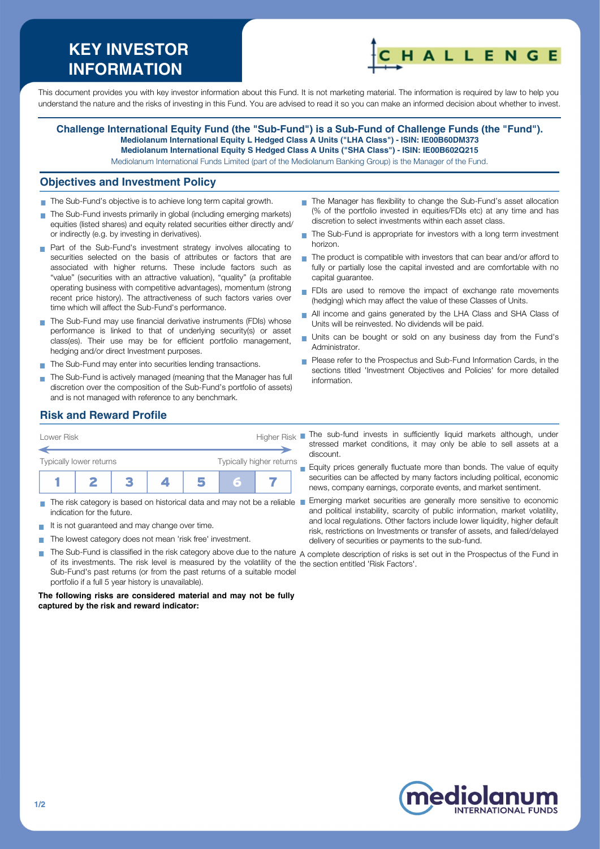# **KEY INVESTOR INFORMATION**



This document provides you with key investor information about this Fund. It is not marketing material. The information is required by law to help you understand the nature and the risks of investing in this Fund. You are advised to read it so you can make an informed decision about whether to invest.

**Challenge International Equity Fund (the "Sub-Fund") is a Sub-Fund of Challenge Funds (the "Fund"). Mediolanum International Equity L Hedged Class A Units ("LHA Class") - ISIN: IE00B60DM373 Mediolanum International Equity S Hedged Class A Units ("SHA Class") - ISIN: IE00B602Q215** Mediolanum International Funds Limited (part of the Mediolanum Banking Group) is the Manager of the Fund.

#### **Objectives and Investment Policy**

- The Sub-Fund's objective is to achieve long term capital growth.
- The Sub-Fund invests primarily in global (including emerging markets) equities (listed shares) and equity related securities either directly and/ or indirectly (e.g. by investing in derivatives).
- **Part of the Sub-Fund's investment strategy involves allocating to** securities selected on the basis of attributes or factors that are associated with higher returns. These include factors such as "value" (securities with an attractive valuation), "quality" (a profitable operating business with competitive advantages), momentum (strong recent price history). The attractiveness of such factors varies over time which will affect the Sub-Fund's performance.
- The Sub-Fund may use financial derivative instruments (FDIs) whose performance is linked to that of underlying security(s) or asset class(es). Their use may be for efficient portfolio management, hedging and/or direct Investment purposes.
- The Sub-Fund may enter into securities lending transactions.
- The Sub-Fund is actively managed (meaning that the Manager has full discretion over the composition of the Sub-Fund's portfolio of assets) and is not managed with reference to any benchmark.
- The Manager has flexibility to change the Sub-Fund's asset allocation (% of the portfolio invested in equities/FDIs etc) at any time and has discretion to select investments within each asset class.
- The Sub-Fund is appropriate for investors with a long term investment horizon.
- $\blacksquare$  The product is compatible with investors that can bear and/or afford to fully or partially lose the capital invested and are comfortable with no capital guarantee.
- FDIs are used to remove the impact of exchange rate movements (hedging) which may affect the value of these Classes of Units.
- All income and gains generated by the LHA Class and SHA Class of  $\overline{\phantom{a}}$ Units will be reinvested. No dividends will be paid.
- Units can be bought or sold on any business day from the Fund's Administrator.
- **Please refer to the Prospectus and Sub-Fund Information Cards, in the** sections titled 'Investment Objectives and Policies' for more detailed information.

# **Risk and Reward Profile**



- indication for the future.
- It is not quaranteed and may change over time.
- The lowest category does not mean 'risk free' investment.  $\mathcal{L}_{\mathcal{A}}$

stressed market conditions, it may only be able to sell assets at a discount.

**Equity prices generally fluctuate more than bonds. The value of equity** securities can be affected by many factors including political, economic news, company earnings, corporate events, and market sentiment.

- The risk category is based on historical data and may not be a reliable Emerging market securities are generally more sensitive to economic and political instability, scarcity of public information, market volatility, and local regulations. Other factors include lower liquidity, higher default risk, restrictions on Investments or transfer of assets, and failed/delayed delivery of securities or payments to the sub-fund.
- T. The Sub-Fund is classified in the risk category above due to the nature  $\,$  complete description of risks is set out in the Prospectus of the Fund in of its investments. The risk level is measured by the volatility of the the section entitled 'Risk Factors'.Sub-Fund's past returns (or from the past returns of a suitable model portfolio if a full 5 year history is unavailable).

**The following risks are considered material and may not be fully captured by the risk and reward indicator:**